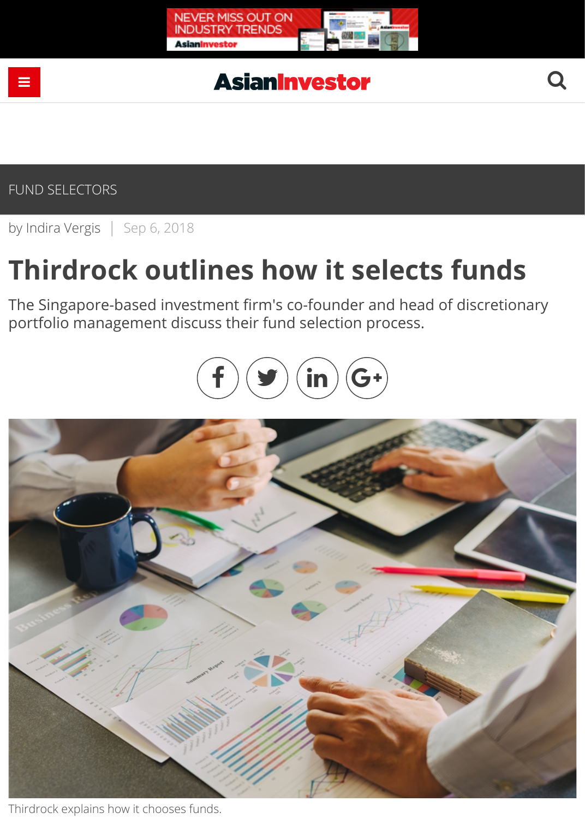

# **AsianInvestor**

by [Indira Vergis](https://www.asianinvestor.net/author/indira-vergis/974482) | Sep 6, 2018

# **Thirdrock outlines how it selects funds**

The Singapore-based investment firm's co-founder and head of discretionary portfolio management discuss their fund selection process.





Thirdrock explains how it chooses funds.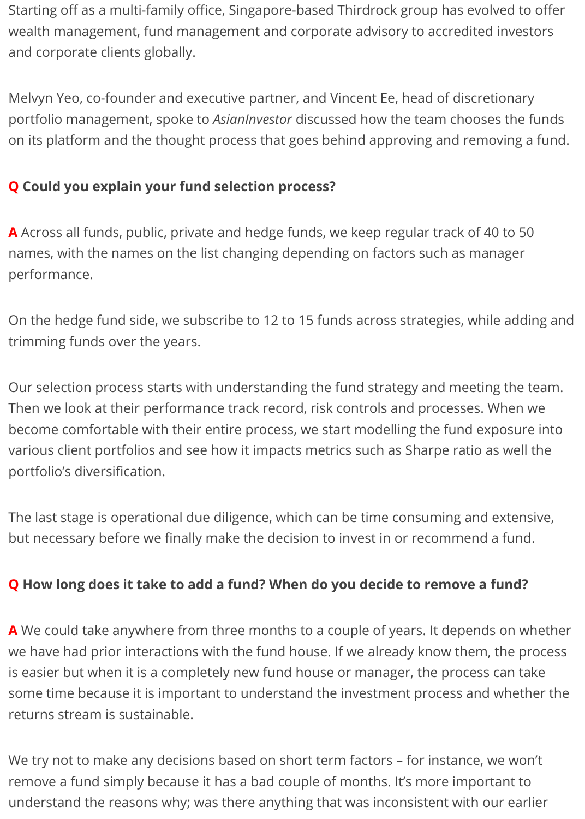Starting off as a multi-family office, Singapore-based Thirdrock group has evolved to offer wealth management, fund management and corporate advisory to accredited investors and corporate clients globally.

Melvyn Yeo, co-founder and executive partner, and Vincent Ee, head of discretionary portfolio management, spoke to *AsianInvestor* discussed how the team chooses the funds on its platform and the thought process that goes behind approving and removing a fund.

## **Q Could you explain your fund selection process?**

**A** Across all funds, public, private and hedge funds, we keep regular track of 40 to 50 names, with the names on the list changing depending on factors such as manager performance.

On the hedge fund side, we subscribe to 12 to 15 funds across strategies, while adding and trimming funds over the years.

Our selection process starts with understanding the fund strategy and meeting the team. Then we look at their performance track record, risk controls and processes. When we become comfortable with their entire process, we start modelling the fund exposure into various client portfolios and see how it impacts metrics such as Sharpe ratio as well the portfolio's diversification.

The last stage is operational due diligence, which can be time consuming and extensive, but necessary before we finally make the decision to invest in or recommend a fund.

#### **Q How long does it take to add a fund? When do you decide to remove a fund?**

**A** We could take anywhere from three months to a couple of years. It depends on whether we have had prior interactions with the fund house. If we already know them, the process is easier but when it is a completely new fund house or manager, the process can take some time because it is important to understand the investment process and whether the returns stream is sustainable.

We try not to make any decisions based on short term factors – for instance, we won't remove a fund simply because it has a bad couple of months. It's more important to understand the reasons why; was there anything that was inconsistent with our earlier